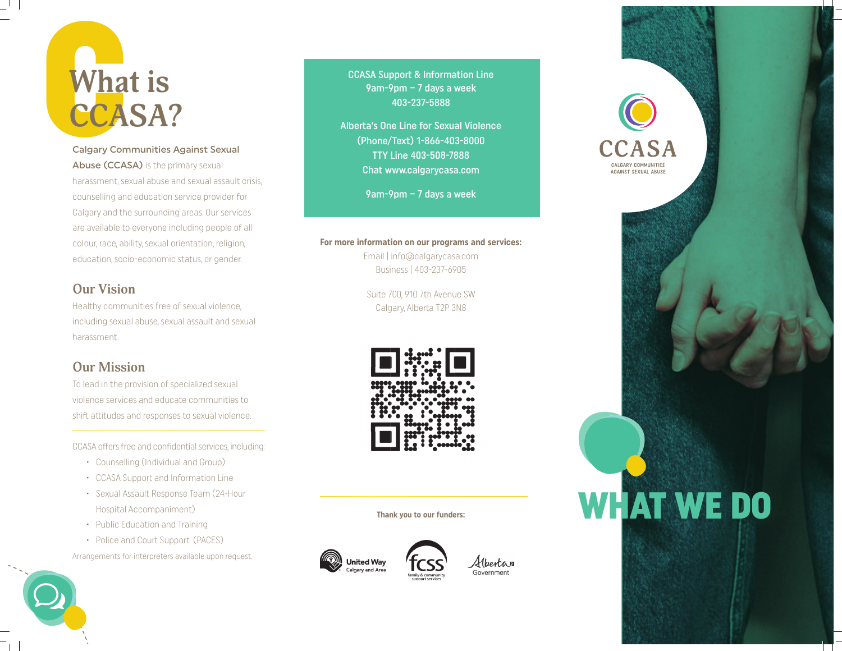

Calgary Communities Against Sexual Abuse (CCASA) is the primary sexual harassment, sexual abuse and sexual assault crisis, counselling and education service provider for Calgary and the surrounding areas. Our services are available to everyone including people of all colour, race, ability, sexual orientation, religion, education, socio-economic status, or gender.

### **Our Vision**

Healthy communities free of sexual violence, including sexual abuse, sexual assault and sexual harassment.

### **Our Mission**

To lead in the provision of specialized sexual violence services and educate communities to shift attitudes and responses to sexual violence.

CCASA offers free and confidential services, including:

- $\cdot$  Counselling (Individual and Group)
- CCASA Support and Information Line
- Sexual Assault Response Team (24-Hour Hospital Accompaniment)
- Public Education and Training
- Police and Court Support (PACES)

Arrangements for interpreters available upon request.

**CCASA Support & Information Line** 9am-9pm – 7 days a week 403-237-5888

Alberta's One Line for Sexual Violence (Phone/Text) 1-866-403-8000 TTY Line 403-508-7888 Chat www.calgarycasa.com

9am-9pm – 7 days a week

### **For more information on our programs and services:**

Email | info@calgarycasa.com Business | 403-237-6905

Suite 700, 910 7th Avenue SW Calgary, Alberta T2P 3N8



**Thank you to our funders:**